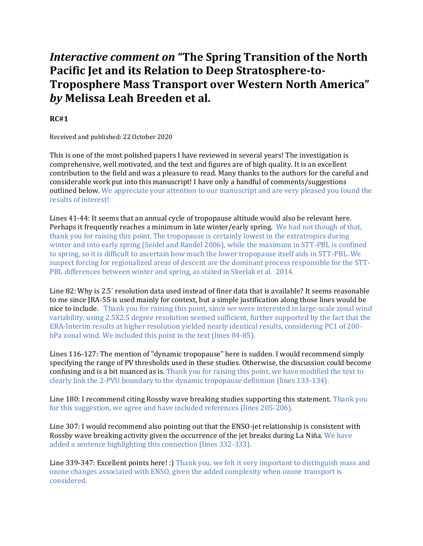# *Interactive comment on* **"The Spring Transition of the North Pacific Jet and its Relation to Deep Stratosphere-to-Troposphere Mass Transport over Western North America"**  *by* **Melissa Leah Breeden et al.**

# **RC#1**

Received and published: 22 October 2020

This is one of the most polished papers I have reviewed in several years! The investigation is comprehensive, well motivated, and the text and figures are of high quality. It is an excellent contribution to the field and was a pleasure to read. Many thanks to the authors for the careful and considerable work put into this manuscript! I have only a handful of comments/suggestions outlined below. We appreciate your attention to our manuscript and are very pleased you found the results of interest!

Lines 41-44: It seems that an annual cycle of tropopause altitude would also be relevant here. Perhaps it frequently reaches a minimum in late winter/early spring. We had not though of that, thank you for raising this point. The tropopause is certainly lowest in the extratropics during winter and into early spring (Seidel and Randel 2006), while the maximum in STT-PBL is confined to spring, so it is difficult to ascertain how much the lower tropopause itself aids in STT-PBL. We suspect forcing for regionalized areas of descent are the dominant process responsible for the STT-PBL differences between winter and spring, as stated in Skerlak et al. 2014.

Line 82: Why is 2.5° resolution data used instead of finer data that is available? It seems reasonable to me since JRA-55 is used mainly for context, but a simple justification along those lines would be nice to include. Thank you for raising this point, since we were interested in large-scale zonal wind variability, using 2.5X2.5 degree resolution seemed sufficient, further supported by the fact that the ERA-Interim results at higher resolution yielded nearly identical results, considering PC1 of 200 hPa zonal wind. We included this point in the text (lines 84-85).

Lines 116-127: The mention of "dynamic tropopause" here is sudden. I would recommend simply specifying the range of PV thresholds used in these studies. Otherwise, the discussion could become confusing and is a bit nuanced as is. Thank you for raising this point, we have modified the text to clearly link the 2-PVU boundary to the dynamic tropopause definition (lines 133-134).

Line 180: I recommend citing Rossby wave breaking studies supporting this statement. Thank you for this suggestion, we agree and have included references (lines 205-206).

Line 307: I would recommend also pointing out that the ENSO-jet relationship is consistent with Rossby wave breaking activity given the occurrence of the jet breaks during La Niña. We have added a sentence highlighting this connection (lines 332-333).

Line 339-347: Excellent points here! :) Thank you, we felt it very important to distinguish mass and ozone changes associated with ENSO, given the added complexity when ozone transport is considered.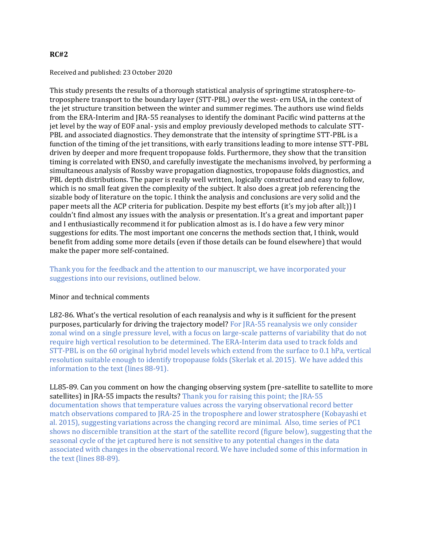### **RC#2**

#### Received and published: 23 October 2020

This study presents the results of a thorough statistical analysis of springtime stratosphere-totroposphere transport to the boundary layer (STT-PBL) over the west- ern USA, in the context of the jet structure transition between the winter and summer regimes. The authors use wind fields from the ERA-Interim and JRA-55 reanalyses to identify the dominant Pacific wind patterns at the jet level by the way of EOF anal- ysis and employ previously developed methods to calculate STT-PBL and associated diagnostics. They demonstrate that the intensity of springtime STT-PBL is a function of the timing of the jet transitions, with early transitions leading to more intense STT-PBL driven by deeper and more frequent tropopause folds. Furthermore, they show that the transition timing is correlated with ENSO, and carefully investigate the mechanisms involved, by performing a simultaneous analysis of Rossby wave propagation diagnostics, tropopause folds diagnostics, and PBL depth distributions. The paper is really well written, logically constructed and easy to follow, which is no small feat given the complexity of the subject. It also does a great job referencing the sizable body of literature on the topic. I think the analysis and conclusions are very solid and the paper meets all the ACP criteria for publication. Despite my best efforts (it's my job after all;)) I couldn't find almost any issues with the analysis or presentation. It's a great and important paper and I enthusiastically recommend it for publication almost as is. I do have a few very minor suggestions for edits. The most important one concerns the methods section that, I think, would benefit from adding some more details (even if those details can be found elsewhere) that would make the paper more self-contained.

## Thank you for the feedback and the attention to our manuscript, we have incorporated your suggestions into our revisions, outlined below.

#### Minor and technical comments

L82-86. What's the vertical resolution of each reanalysis and why is it sufficient for the present purposes, particularly for driving the trajectory model? For JRA-55 reanalysis we only consider zonal wind on a single pressure level, with a focus on large-scale patterns of variability that do not require high vertical resolution to be determined. The ERA-Interim data used to track folds and STT-PBL is on the 60 original hybrid model levels which extend from the surface to 0.1 hPa, vertical resolution suitable enough to identify tropopause folds (Skerlak et al. 2015). We have added this information to the text (lines 88-91).

LL85-89. Can you comment on how the changing observing system (pre-satellite to satellite to more satellites) in JRA-55 impacts the results? Thank you for raising this point; the JRA-55 documentation shows that temperature values across the varying observational record better match observations compared to JRA-25 in the troposphere and lower stratosphere (Kobayashi et al. 2015), suggesting variations across the changing record are minimal. Also, time series of PC1 shows no discernible transition at the start of the satellite record (figure below), suggesting that the seasonal cycle of the jet captured here is not sensitive to any potential changes in the data associated with changes in the observational record. We have included some of this information in the text (lines 88-89).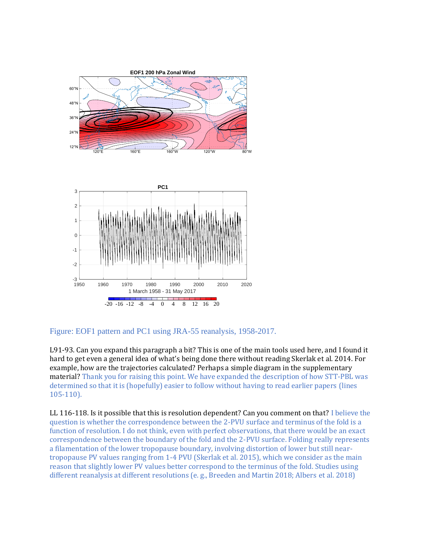

Figure: EOF1 pattern and PC1 using JRA-55 reanalysis, 1958-2017.

L91-93. Can you expand this paragraph a bit? This is one of the main tools used here, and I found it hard to get even a general idea of what's being done there without reading Skerlak et al. 2014. For example, how are the trajectories calculated? Perhaps a simple diagram in the supplementary material? Thank you for raising this point. We have expanded the description of how STT-PBL was determined so that it is (hopefully) easier to follow without having to read earlier papers (lines 105-110).

LL 116-118. Is it possible that this is resolution dependent? Can you comment on that? I believe the question is whether the correspondence between the 2-PVU surface and terminus of the fold is a function of resolution. I do not think, even with perfect observations, that there would be an exact correspondence between the boundary of the fold and the 2-PVU surface. Folding really represents a filamentation of the lower tropopause boundary, involving distortion of lower but still neartropopause PV values ranging from 1-4 PVU (Skerlak et al. 2015), which we consider as the main reason that slightly lower PV values better correspond to the terminus of the fold. Studies using different reanalysis at different resolutions (e. g., Breeden and Martin 2018; Albers et al. 2018)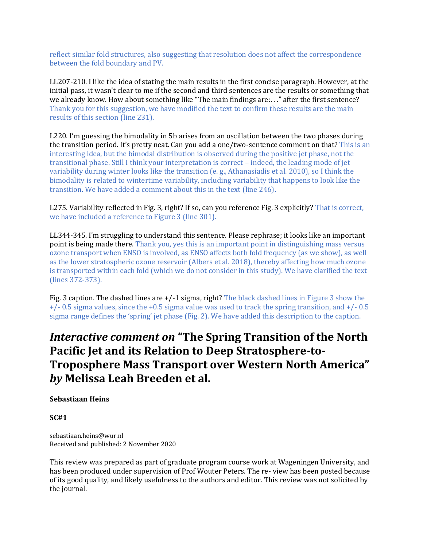reflect similar fold structures, also suggesting that resolution does not affect the correspondence between the fold boundary and PV.

LL207-210. I like the idea of stating the main results in the first concise paragraph. However, at the initial pass, it wasn't clear to me if the second and third sentences are the results or something that we already know. How about something like "The main findings are:. . ." after the first sentence? Thank you for this suggestion, we have modified the text to confirm these results are the main results of this section (line 231).

L220. I'm guessing the bimodality in 5b arises from an oscillation between the two phases during the transition period. It's pretty neat. Can you add a one/two-sentence comment on that? This is an interesting idea, but the bimodal distribution is observed during the positive jet phase, not the transitional phase. Still I think your interpretation is correct – indeed, the leading mode of jet variability during winter looks like the transition (e. g., Athanasiadis et al. 2010), so I think the bimodality is related to wintertime variability, including variability that happens to look like the transition. We have added a comment about this in the text (line 246).

L275. Variability reflected in Fig. 3, right? If so, can you reference Fig. 3 explicitly? That is correct, we have included a reference to Figure 3 (line 301).

LL344-345. I'm struggling to understand this sentence. Please rephrase; it looks like an important point is being made there. Thank you, yes this is an important point in distinguishing mass versus ozone transport when ENSO is involved, as ENSO affects both fold frequency (as we show), as well as the lower stratospheric ozone reservoir (Albers et al. 2018), thereby affecting how much ozone is transported within each fold (which we do not consider in this study). We have clarified the text (lines 372-373).

Fig. 3 caption. The dashed lines are  $+/-1$  sigma, right? The black dashed lines in Figure 3 show the +/- 0.5 sigma values, since the +0.5 sigma value was used to track the spring transition, and +/- 0.5 sigma range defines the 'spring' jet phase (Fig. 2). We have added this description to the caption.

# *Interactive comment on* **"The Spring Transition of the North Pacific Jet and its Relation to Deep Stratosphere-to-Troposphere Mass Transport over Western North America"**  *by* **Melissa Leah Breeden et al.**

## **Sebastiaan Heins**

**SC#1** 

sebastiaan.heins@wur.nl Received and published: 2 November 2020

This review was prepared as part of graduate program course work at Wageningen University, and has been produced under supervision of Prof Wouter Peters. The re- view has been posted because of its good quality, and likely usefulness to the authors and editor. This review was not solicited by the journal.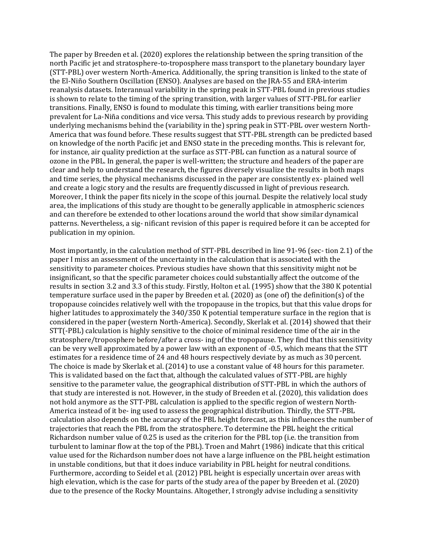The paper by Breeden et al. (2020) explores the relationship between the spring transition of the north Pacific jet and stratosphere-to-troposphere mass transport to the planetary boundary layer (STT-PBL) over western North-America. Additionally, the spring transition is linked to the state of the El-Niño Southern Oscillation (ENSO). Analyses are based on the JRA-55 and ERA-interim reanalysis datasets. Interannual variability in the spring peak in STT-PBL found in previous studies is shown to relate to the timing of the spring transition, with larger values of STT-PBL for earlier transitions. Finally, ENSO is found to modulate this timing, with earlier transitions being more prevalent for La-Niña conditions and vice versa. This study adds to previous research by providing underlying mechanisms behind the (variability in the) spring peak in STT-PBL over western North-America that was found before. These results suggest that STT-PBL strength can be predicted based on knowledge of the north Pacific jet and ENSO state in the preceding months. This is relevant for, for instance, air quality prediction at the surface as STT-PBL can function as a natural source of ozone in the PBL. In general, the paper is well-written; the structure and headers of the paper are clear and help to understand the research, the figures diversely visualize the results in both maps and time series, the physical mechanisms discussed in the paper are consistently ex- plained well and create a logic story and the results are frequently discussed in light of previous research. Moreover, I think the paper fits nicely in the scope of this journal. Despite the relatively local study area, the implications of this study are thought to be generally applicable in atmospheric sciences and can therefore be extended to other locations around the world that show similar dynamical patterns. Nevertheless, a sig- nificant revision of this paper is required before it can be accepted for publication in my opinion.

Most importantly, in the calculation method of STT-PBL described in line 91-96 (sec- tion 2.1) of the paper I miss an assessment of the uncertainty in the calculation that is associated with the sensitivity to parameter choices. Previous studies have shown that this sensitivity might not be insignificant, so that the specific parameter choices could substantially affect the outcome of the results in section 3.2 and 3.3 of this study. Firstly, Holton et al. (1995) show that the 380 K potential temperature surface used in the paper by Breeden et al. (2020) as (one of) the definition(s) of the tropopause coincides relatively well with the tropopause in the tropics, but that this value drops for higher latitudes to approximately the 340/350 K potential temperature surface in the region that is considered in the paper (western North-America). Secondly, Skerlak et al. (2014) showed that their STT(-PBL) calculation is highly sensitive to the choice of minimal residence time of the air in the stratosphere/troposphere before/after a cross- ing of the tropopause. They find that this sensitivity can be very well approximated by a power law with an exponent of -0.5, which means that the STT estimates for a residence time of 24 and 48 hours respectively deviate by as much as 30 percent. The choice is made by Skerlak et al. (2014) to use a constant value of 48 hours for this parameter. This is validated based on the fact that, although the calculated values of STT-PBL are highly sensitive to the parameter value, the geographical distribution of STT-PBL in which the authors of that study are interested is not. However, in the study of Breeden et al. (2020), this validation does not hold anymore as the STT-PBL calculation is applied to the specific region of western North-America instead of it be- ing used to assess the geographical distribution. Thirdly, the STT-PBL calculation also depends on the accuracy of the PBL height forecast, as this influences the number of trajectories that reach the PBL from the stratosphere. To determine the PBL height the critical Richardson number value of 0.25 is used as the criterion for the PBL top (i.e. the transition from turbulent to laminar flow at the top of the PBL). Troen and Mahrt (1986) indicate that this critical value used for the Richardson number does not have a large influence on the PBL height estimation in unstable conditions, but that it does induce variability in PBL height for neutral conditions. Furthermore, according to Seidel et al. (2012) PBL height is especially uncertain over areas with high elevation, which is the case for parts of the study area of the paper by Breeden et al. (2020) due to the presence of the Rocky Mountains. Altogether, I strongly advise including a sensitivity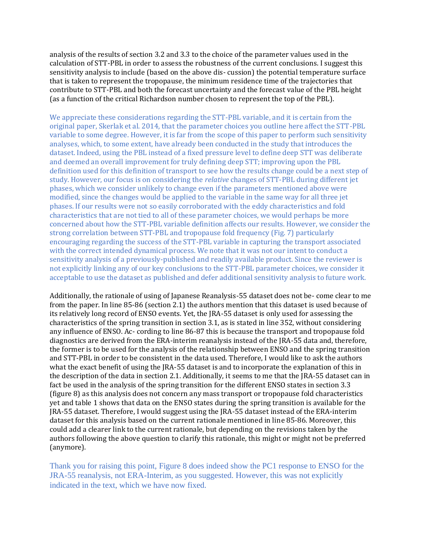analysis of the results of section 3.2 and 3.3 to the choice of the parameter values used in the calculation of STT-PBL in order to assess the robustness of the current conclusions. I suggest this sensitivity analysis to include (based on the above dis- cussion) the potential temperature surface that is taken to represent the tropopause, the minimum residence time of the trajectories that contribute to STT-PBL and both the forecast uncertainty and the forecast value of the PBL height (as a function of the critical Richardson number chosen to represent the top of the PBL).

We appreciate these considerations regarding the STT-PBL variable, and it is certain from the original paper, Skerlak et al. 2014, that the parameter choices you outline here affect the STT-PBL variable to some degree. However, it is far from the scope of this paper to perform such sensitivity analyses, which, to some extent, have already been conducted in the study that introduces the dataset. Indeed, using the PBL instead of a fixed pressure level to define deep STT was deliberate and deemed an overall improvement for truly defining deep STT; improving upon the PBL definition used for this definition of transport to see how the results change could be a next step of study. However, our focus is on considering the *relative* changes of STT-PBL during different jet phases, which we consider unlikely to change even if the parameters mentioned above were modified, since the changes would be applied to the variable in the same way for all three jet phases. If our results were not so easily corroborated with the eddy characteristics and fold characteristics that are not tied to all of these parameter choices, we would perhaps be more concerned about how the STT-PBL variable definition affects our results. However, we consider the strong correlation between STT-PBL and tropopause fold frequency (Fig. 7) particularly encouraging regarding the success of the STT-PBL variable in capturing the transport associated with the correct intended dynamical process. We note that it was not our intent to conduct a sensitivity analysis of a previously-published and readily available product. Since the reviewer is not explicitly linking any of our key conclusions to the STT-PBL parameter choices, we consider it acceptable to use the dataset as published and defer additional sensitivity analysis to future work.

Additionally, the rationale of using of Japanese Reanalysis-55 dataset does not be- come clear to me from the paper. In line 85-86 (section 2.1) the authors mention that this dataset is used because of its relatively long record of ENSO events. Yet, the JRA-55 dataset is only used for assessing the characteristics of the spring transition in section 3.1, as is stated in line 352, without considering any influence of ENSO. Ac- cording to line 86-87 this is because the transport and tropopause fold diagnostics are derived from the ERA-interim reanalysis instead of the JRA-55 data and, therefore, the former is to be used for the analysis of the relationship between ENSO and the spring transition and STT-PBL in order to be consistent in the data used. Therefore, I would like to ask the authors what the exact benefit of using the JRA-55 dataset is and to incorporate the explanation of this in the description of the data in section 2.1. Additionally, it seems to me that the JRA-55 dataset can in fact be used in the analysis of the spring transition for the different ENSO states in section 3.3 (figure 8) as this analysis does not concern any mass transport or tropopause fold characteristics yet and table 1 shows that data on the ENSO states during the spring transition is available for the JRA-55 dataset. Therefore, I would suggest using the JRA-55 dataset instead of the ERA-interim dataset for this analysis based on the current rationale mentioned in line 85-86. Moreover, this could add a clearer link to the current rationale, but depending on the revisions taken by the authors following the above question to clarify this rationale, this might or might not be preferred (anymore).

Thank you for raising this point, Figure 8 does indeed show the PC1 response to ENSO for the JRA-55 reanalysis, not ERA-Interim, as you suggested. However, this was not explicitly indicated in the text, which we have now fixed.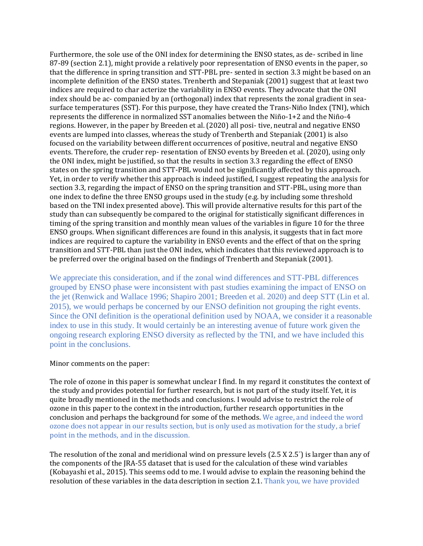Furthermore, the sole use of the ONI index for determining the ENSO states, as de- scribed in line 87-89 (section 2.1), might provide a relatively poor representation of ENSO events in the paper, so that the difference in spring transition and STT-PBL pre- sented in section 3.3 might be based on an incomplete definition of the ENSO states. Trenberth and Stepaniak (2001) suggest that at least two indices are required to char acterize the variability in ENSO events. They advocate that the ONI index should be ac- companied by an (orthogonal) index that represents the zonal gradient in seasurface temperatures (SST). For this purpose, they have created the Trans-Niño Index (TNI), which represents the difference in normalized SST anomalies between the Niño-1+2 and the Niño-4 regions. However, in the paper by Breeden et al. (2020) all posi- tive, neutral and negative ENSO events are lumped into classes, whereas the study of Trenberth and Stepaniak (2001) is also focused on the variability between different occurrences of positive, neutral and negative ENSO events. Therefore, the cruder rep- resentation of ENSO events by Breeden et al. (2020), using only the ONI index, might be justified, so that the results in section 3.3 regarding the effect of ENSO states on the spring transition and STT-PBL would not be significantly affected by this approach. Yet, in order to verify whether this approach is indeed justified, I suggest repeating the analysis for section 3.3, regarding the impact of ENSO on the spring transition and STT-PBL, using more than one index to define the three ENSO groups used in the study (e.g. by including some threshold based on the TNI index presented above). This will provide alternative results for this part of the study than can subsequently be compared to the original for statistically significant differences in timing of the spring transition and monthly mean values of the variables in figure 10 for the three ENSO groups. When significant differences are found in this analysis, it suggests that in fact more indices are required to capture the variability in ENSO events and the effect of that on the spring transition and STT-PBL than just the ONI index, which indicates that this reviewed approach is to be preferred over the original based on the findings of Trenberth and Stepaniak (2001).

We appreciate this consideration, and if the zonal wind differences and STT-PBL differences grouped by ENSO phase were inconsistent with past studies examining the impact of ENSO on the jet (Renwick and Wallace 1996; Shapiro 2001; Breeden et al. 2020) and deep STT (Lin et al. 2015), we would perhaps be concerned by our ENSO definition not grouping the right events. Since the ONI definition is the operational definition used by NOAA, we consider it a reasonable index to use in this study. It would certainly be an interesting avenue of future work given the ongoing research exploring ENSO diversity as reflected by the TNI, and we have included this point in the conclusions.

## Minor comments on the paper:

The role of ozone in this paper is somewhat unclear I find. In my regard it constitutes the context of the study and provides potential for further research, but is not part of the study itself. Yet, it is quite broadly mentioned in the methods and conclusions. I would advise to restrict the role of ozone in this paper to the context in the introduction, further research opportunities in the conclusion and perhaps the background for some of the methods. We agree, and indeed the word ozone does not appear in our results section, but is only used as motivation for the study, a brief point in the methods, and in the discussion.

The resolution of the zonal and meridional wind on pressure levels (2.5 X 2.5°) is larger than any of the components of the JRA-55 dataset that is used for the calculation of these wind variables (Kobayashi et al., 2015). This seems odd to me. I would advise to explain the reasoning behind the resolution of these variables in the data description in section 2.1. Thank you, we have provided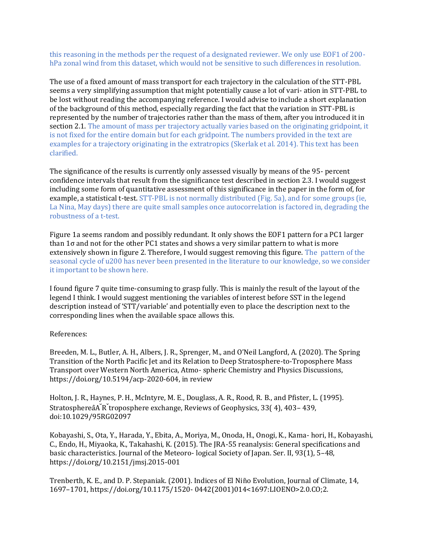this reasoning in the methods per the request of a designated reviewer. We only use EOF1 of 200 hPa zonal wind from this dataset, which would not be sensitive to such differences in resolution.

The use of a fixed amount of mass transport for each trajectory in the calculation of the STT-PBL seems a very simplifying assumption that might potentially cause a lot of vari- ation in STT-PBL to be lost without reading the accompanying reference. I would advise to include a short explanation of the background of this method, especially regarding the fact that the variation in STT-PBL is represented by the number of trajectories rather than the mass of them, after you introduced it in section 2.1. The amount of mass per trajectory actually varies based on the originating gridpoint, it is not fixed for the entire domain but for each gridpoint. The numbers provided in the text are examples for a trajectory originating in the extratropics (Skerlak et al. 2014). This text has been clarified.

The significance of the results is currently only assessed visually by means of the 95- percent confidence intervals that result from the significance test described in section 2.3. I would suggest including some form of quantitative assessment of this significance in the paper in the form of, for example, a statistical t-test. STT-PBL is not normally distributed (Fig. 5a), and for some groups (ie, La Nina, May days) there are quite small samples once autocorrelation is factored in, degrading the robustness of a t-test.

Figure 1a seems random and possibly redundant. It only shows the EOF1 pattern for a PC1 larger than 1σ and not for the other PC1 states and shows a very similar pattern to what is more extensively shown in figure 2. Therefore, I would suggest removing this figure. The pattern of the seasonal cycle of u200 has never been presented in the literature to our knowledge, so we consider it important to be shown here.

I found figure 7 quite time-consuming to grasp fully. This is mainly the result of the layout of the legend I think. I would suggest mentioning the variables of interest before SST in the legend description instead of 'STT/variable' and potentially even to place the description next to the corresponding lines when the available space allows this.

References:

Breeden, M. L., Butler, A. H., Albers, J. R., Sprenger, M., and O'Neil Langford, A. (2020). The Spring Transition of the North Pacific Jet and its Relation to Deep Stratosphere-to-Troposphere Mass Transport over Western North America, Atmo- spheric Chemistry and Physics Discussions, https://doi.org/10.5194/acp-2020-604, in review

Holton, J. R., Haynes, P. H., McIntyre, M. E., Douglass, A. R., Rood, R. B., and Pfister, L. (1995). StratosphereâA<sup>K</sup> troposphere exchange, Reviews of Geophysics, 33(4), 403-439, doi:10.1029/95RG02097

Kobayashi, S., Ota, Y., Harada, Y., Ebita, A., Moriya, M., Onoda, H., Onogi, K., Kama- hori, H., Kobayashi, C., Endo, H., Miyaoka, K., Takahashi, K. (2015). The JRA-55 reanalysis: General specifications and basic characteristics. Journal of the Meteoro- logical Society of Japan. Ser. II, 93(1), 5–48, https://doi.org/10.2151/jmsj.2015-001

Trenberth, K. E., and D. P. Stepaniak. (2001). Indices of El Niño Evolution, Journal of Climate, 14, 1697–1701, https://doi.org/10.1175/1520- 0442(2001)014<1697:LIOENO>2.0.CO;2.